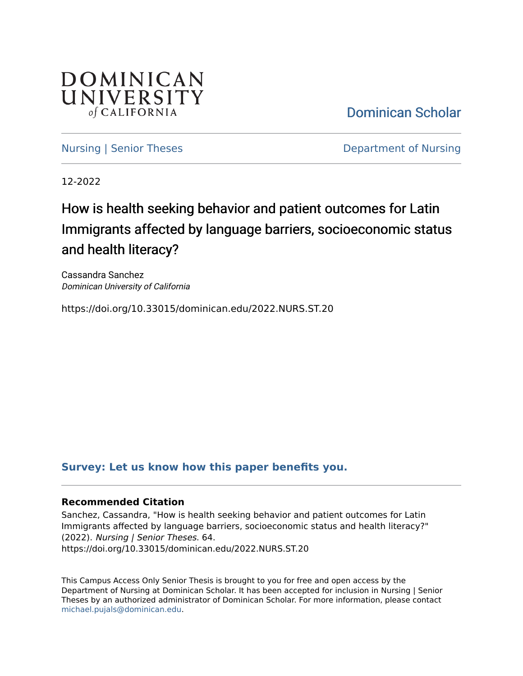

[Dominican Scholar](https://scholar.dominican.edu/) 

[Nursing | Senior Theses](https://scholar.dominican.edu/nursing-senior-theses) **Department of Nursing** 

12-2022

# How is health seeking behavior and patient outcomes for Latin Immigrants affected by language barriers, socioeconomic status and health literacy?

Cassandra Sanchez Dominican University of California

https://doi.org/10.33015/dominican.edu/2022.NURS.ST.20

# **[Survey: Let us know how this paper benefits you.](https://dominican.libwizard.com/dominican-scholar-feedback)**

#### **Recommended Citation**

Sanchez, Cassandra, "How is health seeking behavior and patient outcomes for Latin Immigrants affected by language barriers, socioeconomic status and health literacy?" (2022). Nursing | Senior Theses. 64. https://doi.org/10.33015/dominican.edu/2022.NURS.ST.20

This Campus Access Only Senior Thesis is brought to you for free and open access by the Department of Nursing at Dominican Scholar. It has been accepted for inclusion in Nursing | Senior Theses by an authorized administrator of Dominican Scholar. For more information, please contact [michael.pujals@dominican.edu.](mailto:michael.pujals@dominican.edu)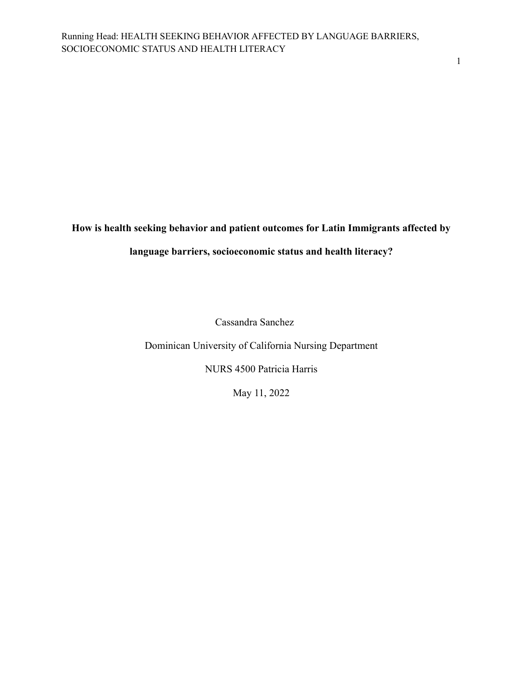**How is health seeking behavior and patient outcomes for Latin Immigrants affected by**

# **language barriers, socioeconomic status and health literacy?**

Cassandra Sanchez

Dominican University of California Nursing Department

NURS 4500 Patricia Harris

May 11, 2022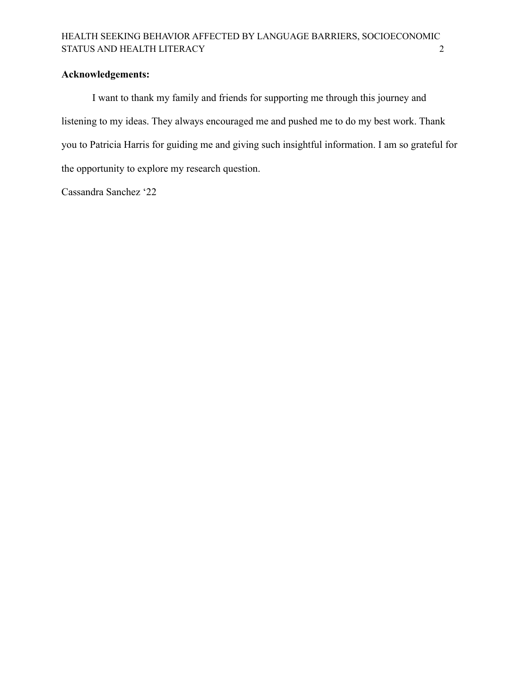# **Acknowledgements:**

I want to thank my family and friends for supporting me through this journey and listening to my ideas. They always encouraged me and pushed me to do my best work. Thank you to Patricia Harris for guiding me and giving such insightful information. I am so grateful for the opportunity to explore my research question.

Cassandra Sanchez '22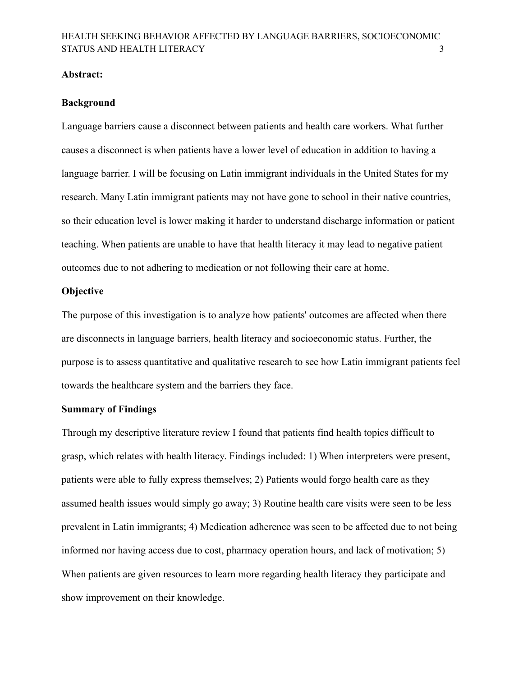#### <span id="page-3-0"></span>**Abstract:**

#### **Background**

Language barriers cause a disconnect between patients and health care workers. What further causes a disconnect is when patients have a lower level of education in addition to having a language barrier. I will be focusing on Latin immigrant individuals in the United States for my research. Many Latin immigrant patients may not have gone to school in their native countries, so their education level is lower making it harder to understand discharge information or patient teaching. When patients are unable to have that health literacy it may lead to negative patient outcomes due to not adhering to medication or not following their care at home.

### **Objective**

The purpose of this investigation is to analyze how patients' outcomes are affected when there are disconnects in language barriers, health literacy and socioeconomic status. Further, the purpose is to assess quantitative and qualitative research to see how Latin immigrant patients feel towards the healthcare system and the barriers they face.

### **Summary of Findings**

Through my descriptive literature review I found that patients find health topics difficult to grasp, which relates with health literacy. Findings included: 1) When interpreters were present, patients were able to fully express themselves; 2) Patients would forgo health care as they assumed health issues would simply go away; 3) Routine health care visits were seen to be less prevalent in Latin immigrants; 4) Medication adherence was seen to be affected due to not being informed nor having access due to cost, pharmacy operation hours, and lack of motivation; 5) When patients are given resources to learn more regarding health literacy they participate and show improvement on their knowledge.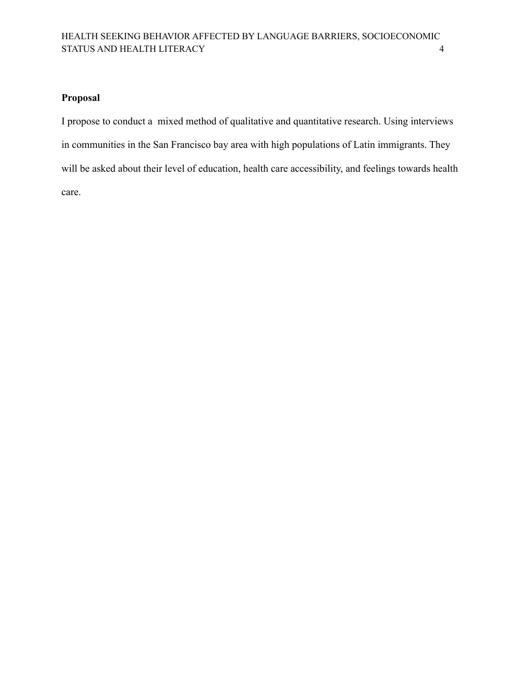# **Proposal**

I propose to conduct a mixed method of qualitative and quantitative research. Using interviews in communities in the San Francisco bay area with high populations of Latin immigrants. They will be asked about their level of education, health care accessibility, and feelings towards health care.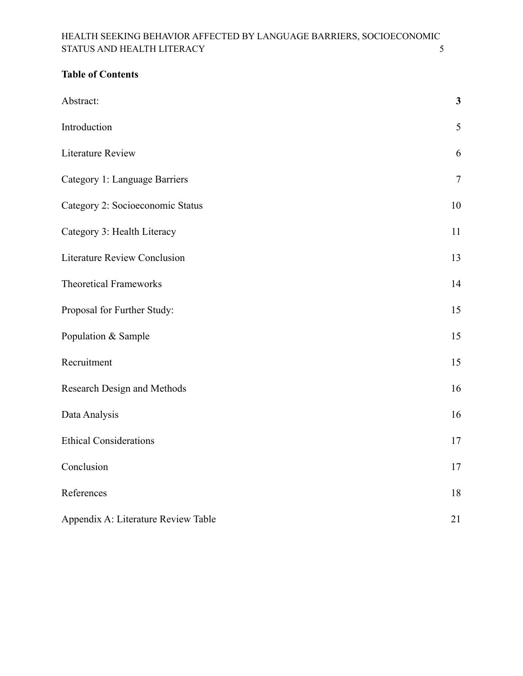# **Table of Contents**

| Abstract:                           | $\mathbf{3}$   |
|-------------------------------------|----------------|
| Introduction                        | 5              |
| <b>Literature Review</b>            | 6              |
| Category 1: Language Barriers       | $\overline{7}$ |
| Category 2: Socioeconomic Status    | 10             |
| Category 3: Health Literacy         | 11             |
| <b>Literature Review Conclusion</b> | 13             |
| <b>Theoretical Frameworks</b>       | 14             |
| Proposal for Further Study:         | 15             |
| Population & Sample                 | 15             |
| Recruitment                         | 15             |
| Research Design and Methods         | 16             |
| Data Analysis                       | 16             |
| <b>Ethical Considerations</b>       | 17             |
| Conclusion                          | 17             |
| References                          | 18             |
| Appendix A: Literature Review Table | 21             |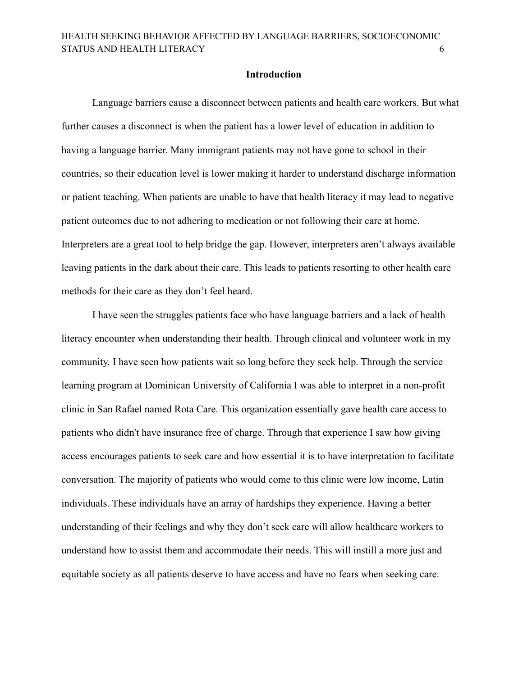#### **Introduction**

<span id="page-6-0"></span>Language barriers cause a disconnect between patients and health care workers. But what further causes a disconnect is when the patient has a lower level of education in addition to having a language barrier. Many immigrant patients may not have gone to school in their countries, so their education level is lower making it harder to understand discharge information or patient teaching. When patients are unable to have that health literacy it may lead to negative patient outcomes due to not adhering to medication or not following their care at home. Interpreters are a great tool to help bridge the gap. However, interpreters aren't always available leaving patients in the dark about their care. This leads to patients resorting to other health care methods for their care as they don't feel heard.

I have seen the struggles patients face who have language barriers and a lack of health literacy encounter when understanding their health. Through clinical and volunteer work in my community. I have seen how patients wait so long before they seek help. Through the service learning program at Dominican University of California I was able to interpret in a non-profit clinic in San Rafael named Rota Care. This organization essentially gave health care access to patients who didn't have insurance free of charge. Through that experience I saw how giving access encourages patients to seek care and how essential it is to have interpretation to facilitate conversation. The majority of patients who would come to this clinic were low income, Latin individuals. These individuals have an array of hardships they experience. Having a better understanding of their feelings and why they don't seek care will allow healthcare workers to understand how to assist them and accommodate their needs. This will instill a more just and equitable society as all patients deserve to have access and have no fears when seeking care.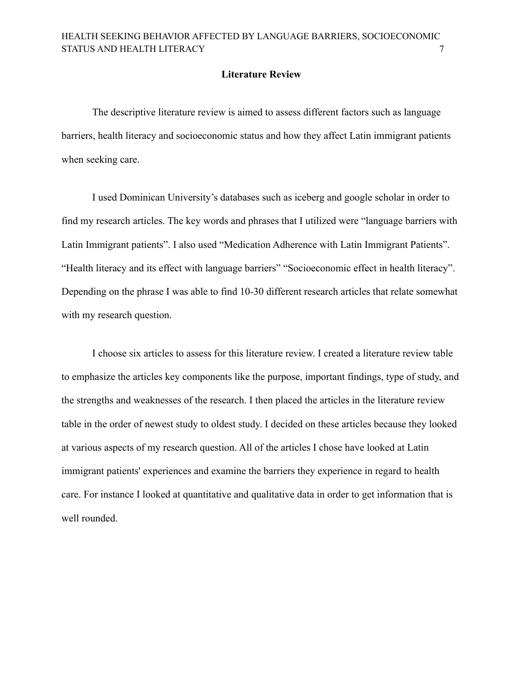### **Literature Review**

<span id="page-7-0"></span>The descriptive literature review is aimed to assess different factors such as language barriers, health literacy and socioeconomic status and how they affect Latin immigrant patients when seeking care.

I used Dominican University's databases such as iceberg and google scholar in order to find my research articles. The key words and phrases that I utilized were "language barriers with Latin Immigrant patients". I also used "Medication Adherence with Latin Immigrant Patients". "Health literacy and its effect with language barriers" "Socioeconomic effect in health literacy". Depending on the phrase I was able to find 10-30 different research articles that relate somewhat with my research question.

I choose six articles to assess for this literature review. I created a literature review table to emphasize the articles key components like the purpose, important findings, type of study, and the strengths and weaknesses of the research. I then placed the articles in the literature review table in the order of newest study to oldest study. I decided on these articles because they looked at various aspects of my research question. All of the articles I chose have looked at Latin immigrant patients' experiences and examine the barriers they experience in regard to health care. For instance I looked at quantitative and qualitative data in order to get information that is well rounded.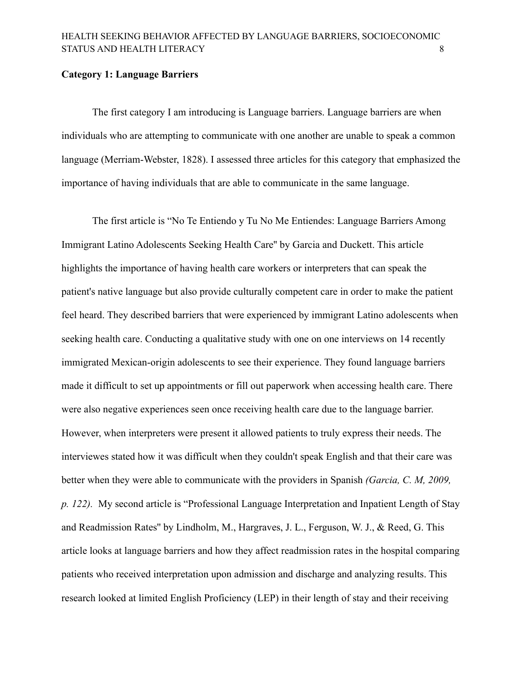#### <span id="page-8-0"></span>**Category 1: Language Barriers**

The first category I am introducing is Language barriers. Language barriers are when individuals who are attempting to communicate with one another are unable to speak a common language (Merriam-Webster, 1828). I assessed three articles for this category that emphasized the importance of having individuals that are able to communicate in the same language.

The first article is "No Te Entiendo y Tu No Me Entiendes: Language Barriers Among Immigrant Latino Adolescents Seeking Health Care'' by Garcia and Duckett. This article highlights the importance of having health care workers or interpreters that can speak the patient's native language but also provide culturally competent care in order to make the patient feel heard. They described barriers that were experienced by immigrant Latino adolescents when seeking health care. Conducting a qualitative study with one on one interviews on 14 recently immigrated Mexican-origin adolescents to see their experience. They found language barriers made it difficult to set up appointments or fill out paperwork when accessing health care. There were also negative experiences seen once receiving health care due to the language barrier. However, when interpreters were present it allowed patients to truly express their needs. The interviewes stated how it was difficult when they couldn't speak English and that their care was better when they were able to communicate with the providers in Spanish *(Garcia, C. M, 2009, p. 122).* My second article is "Professional Language Interpretation and Inpatient Length of Stay and Readmission Rates'' by Lindholm, M., Hargraves, J. L., Ferguson, W. J., & Reed, G. This article looks at language barriers and how they affect readmission rates in the hospital comparing patients who received interpretation upon admission and discharge and analyzing results. This research looked at limited English Proficiency (LEP) in their length of stay and their receiving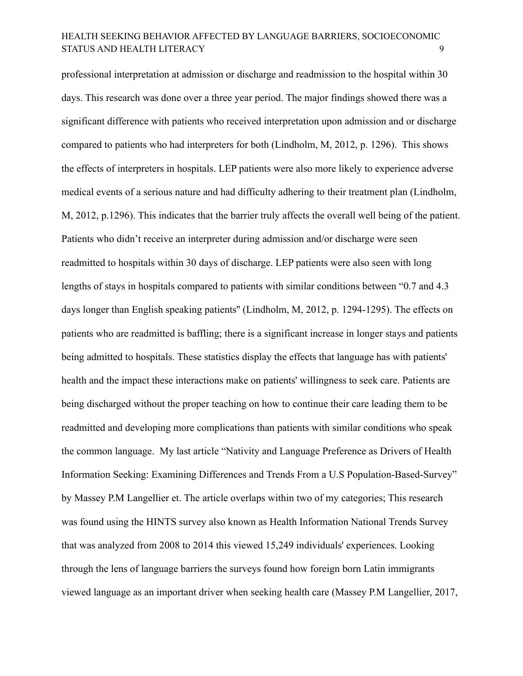professional interpretation at admission or discharge and readmission to the hospital within 30 days. This research was done over a three year period. The major findings showed there was a significant difference with patients who received interpretation upon admission and or discharge compared to patients who had interpreters for both (Lindholm, M, 2012, p. 1296). This shows the effects of interpreters in hospitals. LEP patients were also more likely to experience adverse medical events of a serious nature and had difficulty adhering to their treatment plan (Lindholm, M, 2012, p.1296). This indicates that the barrier truly affects the overall well being of the patient. Patients who didn't receive an interpreter during admission and/or discharge were seen readmitted to hospitals within 30 days of discharge. LEP patients were also seen with long lengths of stays in hospitals compared to patients with similar conditions between "0.7 and 4.3 days longer than English speaking patients'' (Lindholm, M, 2012, p. 1294-1295). The effects on patients who are readmitted is baffling; there is a significant increase in longer stays and patients being admitted to hospitals. These statistics display the effects that language has with patients' health and the impact these interactions make on patients' willingness to seek care. Patients are being discharged without the proper teaching on how to continue their care leading them to be readmitted and developing more complications than patients with similar conditions who speak the common language. My last article "Nativity and Language Preference as Drivers of Health Information Seeking: Examining Differences and Trends From a U.S Population-Based-Survey" by Massey P.M Langellier et. The article overlaps within two of my categories; This research was found using the HINTS survey also known as Health Information National Trends Survey that was analyzed from 2008 to 2014 this viewed 15,249 individuals' experiences. Looking through the lens of language barriers the surveys found how foreign born Latin immigrants viewed language as an important driver when seeking health care (Massey P.M Langellier, 2017,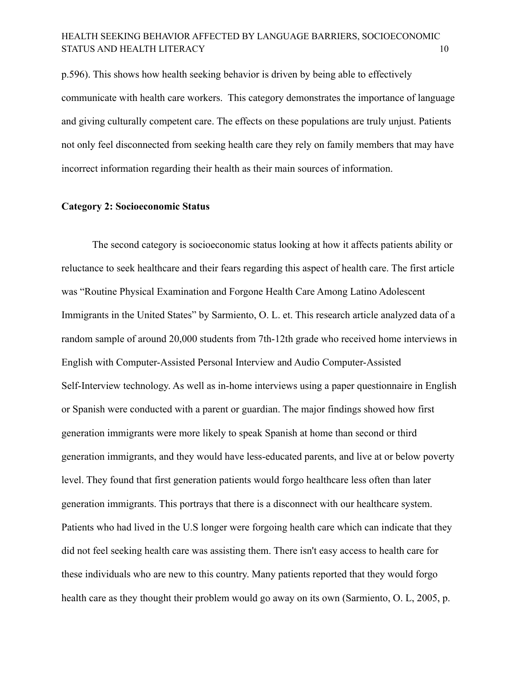p.596). This shows how health seeking behavior is driven by being able to effectively communicate with health care workers. This category demonstrates the importance of language and giving culturally competent care. The effects on these populations are truly unjust. Patients not only feel disconnected from seeking health care they rely on family members that may have incorrect information regarding their health as their main sources of information.

### <span id="page-10-0"></span>**Category 2: Socioeconomic Status**

The second category is socioeconomic status looking at how it affects patients ability or reluctance to seek healthcare and their fears regarding this aspect of health care. The first article was "Routine Physical Examination and Forgone Health Care Among Latino Adolescent Immigrants in the United States" by Sarmiento, O. L. et. This research article analyzed data of a random sample of around 20,000 students from 7th-12th grade who received home interviews in English with Computer-Assisted Personal Interview and Audio Computer-Assisted Self-Interview technology. As well as in-home interviews using a paper questionnaire in English or Spanish were conducted with a parent or guardian. The major findings showed how first generation immigrants were more likely to speak Spanish at home than second or third generation immigrants, and they would have less-educated parents, and live at or below poverty level. They found that first generation patients would forgo healthcare less often than later generation immigrants. This portrays that there is a disconnect with our healthcare system. Patients who had lived in the U.S longer were forgoing health care which can indicate that they did not feel seeking health care was assisting them. There isn't easy access to health care for these individuals who are new to this country. Many patients reported that they would forgo health care as they thought their problem would go away on its own (Sarmiento, O. L, 2005, p.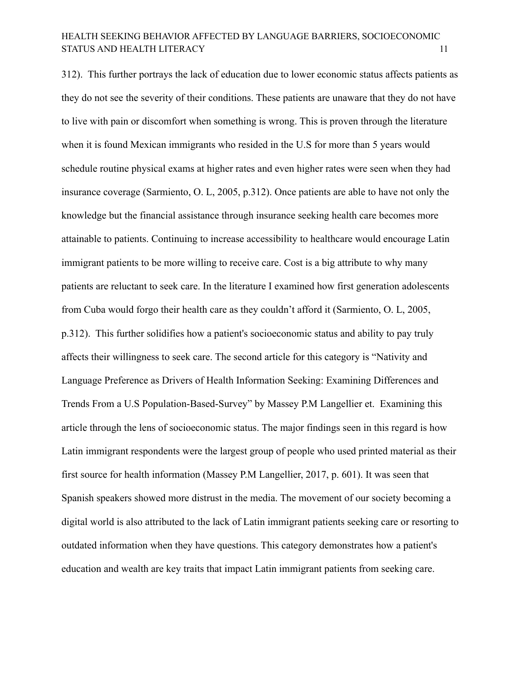312). This further portrays the lack of education due to lower economic status affects patients as they do not see the severity of their conditions. These patients are unaware that they do not have to live with pain or discomfort when something is wrong. This is proven through the literature when it is found Mexican immigrants who resided in the U.S for more than 5 years would schedule routine physical exams at higher rates and even higher rates were seen when they had insurance coverage (Sarmiento, O. L, 2005, p.312). Once patients are able to have not only the knowledge but the financial assistance through insurance seeking health care becomes more attainable to patients. Continuing to increase accessibility to healthcare would encourage Latin immigrant patients to be more willing to receive care. Cost is a big attribute to why many patients are reluctant to seek care. In the literature I examined how first generation adolescents from Cuba would forgo their health care as they couldn't afford it (Sarmiento, O. L, 2005, p.312). This further solidifies how a patient's socioeconomic status and ability to pay truly affects their willingness to seek care. The second article for this category is "Nativity and Language Preference as Drivers of Health Information Seeking: Examining Differences and Trends From a U.S Population-Based-Survey" by Massey P.M Langellier et. Examining this article through the lens of socioeconomic status. The major findings seen in this regard is how Latin immigrant respondents were the largest group of people who used printed material as their first source for health information (Massey P.M Langellier, 2017, p. 601). It was seen that Spanish speakers showed more distrust in the media. The movement of our society becoming a digital world is also attributed to the lack of Latin immigrant patients seeking care or resorting to outdated information when they have questions. This category demonstrates how a patient's education and wealth are key traits that impact Latin immigrant patients from seeking care.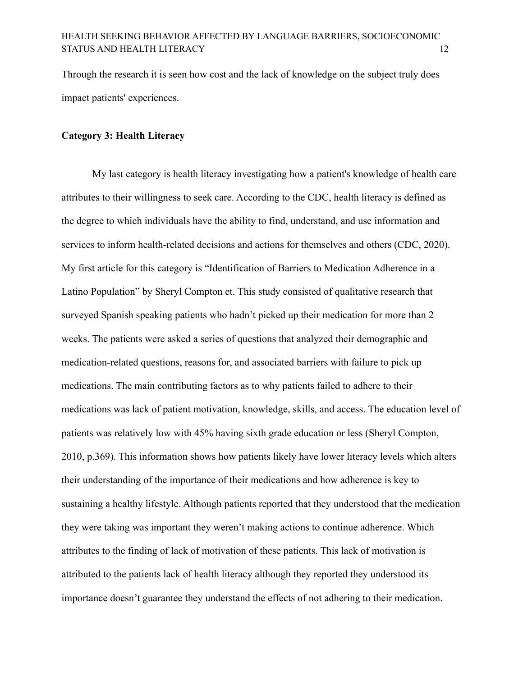Through the research it is seen how cost and the lack of knowledge on the subject truly does impact patients' experiences.

### <span id="page-12-0"></span>**Category 3: Health Literacy**

My last category is health literacy investigating how a patient's knowledge of health care attributes to their willingness to seek care. According to the CDC, health literacy is defined as the degree to which individuals have the ability to find, understand, and use information and services to inform health-related decisions and actions for themselves and others (CDC, 2020). My first article for this category is "Identification of Barriers to Medication Adherence in a Latino Population" by Sheryl Compton et. This study consisted of qualitative research that surveyed Spanish speaking patients who hadn't picked up their medication for more than 2 weeks. The patients were asked a series of questions that analyzed their demographic and medication-related questions, reasons for, and associated barriers with failure to pick up medications. The main contributing factors as to why patients failed to adhere to their medications was lack of patient motivation, knowledge, skills, and access. The education level of patients was relatively low with 45% having sixth grade education or less (Sheryl Compton, 2010, p.369). This information shows how patients likely have lower literacy levels which alters their understanding of the importance of their medications and how adherence is key to sustaining a healthy lifestyle. Although patients reported that they understood that the medication they were taking was important they weren't making actions to continue adherence. Which attributes to the finding of lack of motivation of these patients. This lack of motivation is attributed to the patients lack of health literacy although they reported they understood its importance doesn't guarantee they understand the effects of not adhering to their medication.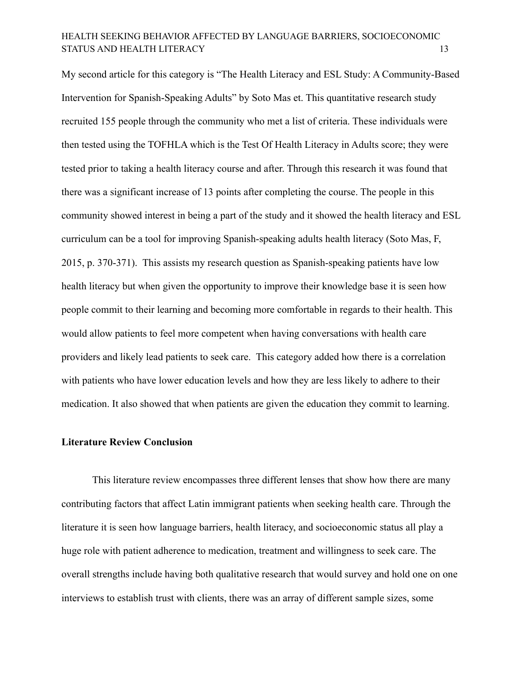My second article for this category is "The Health Literacy and ESL Study: A Community-Based Intervention for Spanish-Speaking Adults" by Soto Mas et. This quantitative research study recruited 155 people through the community who met a list of criteria. These individuals were then tested using the TOFHLA which is the Test Of Health Literacy in Adults score; they were tested prior to taking a health literacy course and after. Through this research it was found that there was a significant increase of 13 points after completing the course. The people in this community showed interest in being a part of the study and it showed the health literacy and ESL curriculum can be a tool for improving Spanish-speaking adults health literacy (Soto Mas, F, 2015, p. 370-371). This assists my research question as Spanish-speaking patients have low health literacy but when given the opportunity to improve their knowledge base it is seen how people commit to their learning and becoming more comfortable in regards to their health. This would allow patients to feel more competent when having conversations with health care providers and likely lead patients to seek care. This category added how there is a correlation with patients who have lower education levels and how they are less likely to adhere to their medication. It also showed that when patients are given the education they commit to learning.

### <span id="page-13-0"></span>**Literature Review Conclusion**

This literature review encompasses three different lenses that show how there are many contributing factors that affect Latin immigrant patients when seeking health care. Through the literature it is seen how language barriers, health literacy, and socioeconomic status all play a huge role with patient adherence to medication, treatment and willingness to seek care. The overall strengths include having both qualitative research that would survey and hold one on one interviews to establish trust with clients, there was an array of different sample sizes, some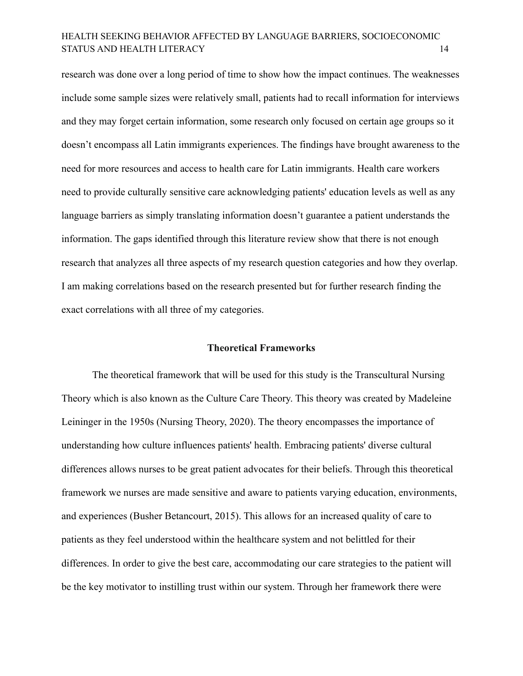research was done over a long period of time to show how the impact continues. The weaknesses include some sample sizes were relatively small, patients had to recall information for interviews and they may forget certain information, some research only focused on certain age groups so it doesn't encompass all Latin immigrants experiences. The findings have brought awareness to the need for more resources and access to health care for Latin immigrants. Health care workers need to provide culturally sensitive care acknowledging patients' education levels as well as any language barriers as simply translating information doesn't guarantee a patient understands the information. The gaps identified through this literature review show that there is not enough research that analyzes all three aspects of my research question categories and how they overlap. I am making correlations based on the research presented but for further research finding the exact correlations with all three of my categories.

#### **Theoretical Frameworks**

<span id="page-14-0"></span>The theoretical framework that will be used for this study is the Transcultural Nursing Theory which is also known as the Culture Care Theory. This theory was created by Madeleine Leininger in the 1950s (Nursing Theory, 2020). The theory encompasses the importance of understanding how culture influences patients' health. Embracing patients' diverse cultural differences allows nurses to be great patient advocates for their beliefs. Through this theoretical framework we nurses are made sensitive and aware to patients varying education, environments, and experiences (Busher Betancourt, 2015). This allows for an increased quality of care to patients as they feel understood within the healthcare system and not belittled for their differences. In order to give the best care, accommodating our care strategies to the patient will be the key motivator to instilling trust within our system. Through her framework there were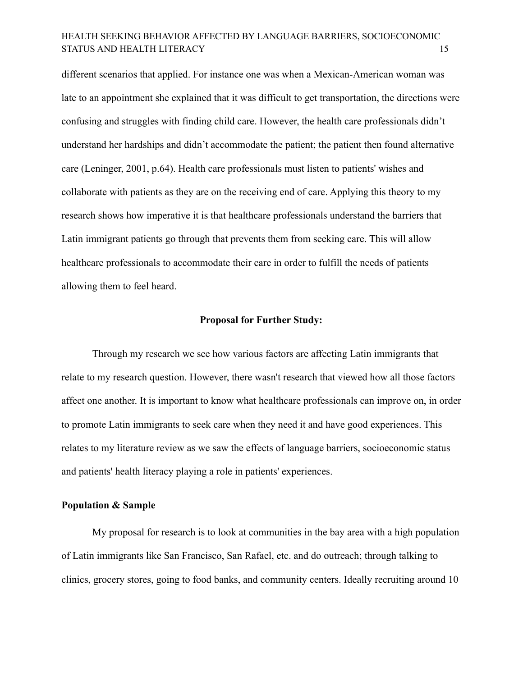different scenarios that applied. For instance one was when a Mexican-American woman was late to an appointment she explained that it was difficult to get transportation, the directions were confusing and struggles with finding child care. However, the health care professionals didn't understand her hardships and didn't accommodate the patient; the patient then found alternative care (Leninger, 2001, p.64). Health care professionals must listen to patients' wishes and collaborate with patients as they are on the receiving end of care. Applying this theory to my research shows how imperative it is that healthcare professionals understand the barriers that Latin immigrant patients go through that prevents them from seeking care. This will allow healthcare professionals to accommodate their care in order to fulfill the needs of patients allowing them to feel heard.

#### **Proposal for Further Study:**

<span id="page-15-0"></span>Through my research we see how various factors are affecting Latin immigrants that relate to my research question. However, there wasn't research that viewed how all those factors affect one another. It is important to know what healthcare professionals can improve on, in order to promote Latin immigrants to seek care when they need it and have good experiences. This relates to my literature review as we saw the effects of language barriers, socioeconomic status and patients' health literacy playing a role in patients' experiences.

### <span id="page-15-1"></span>**Population & Sample**

My proposal for research is to look at communities in the bay area with a high population of Latin immigrants like San Francisco, San Rafael, etc. and do outreach; through talking to clinics, grocery stores, going to food banks, and community centers. Ideally recruiting around 10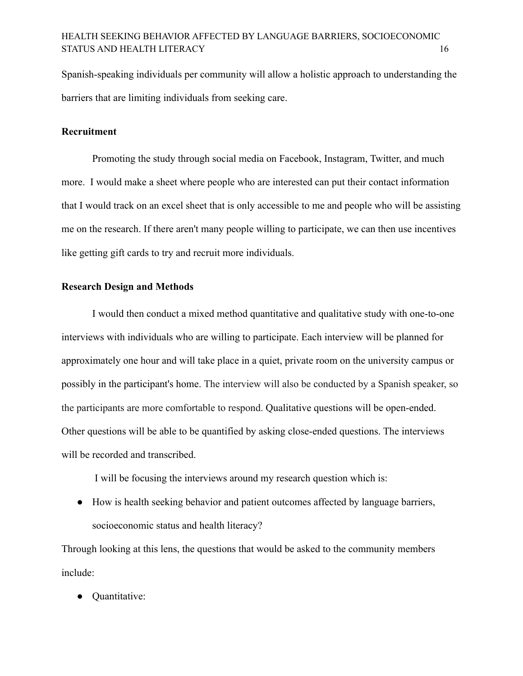Spanish-speaking individuals per community will allow a holistic approach to understanding the barriers that are limiting individuals from seeking care.

### <span id="page-16-0"></span>**Recruitment**

Promoting the study through social media on Facebook, Instagram, Twitter, and much more. I would make a sheet where people who are interested can put their contact information that I would track on an excel sheet that is only accessible to me and people who will be assisting me on the research. If there aren't many people willing to participate, we can then use incentives like getting gift cards to try and recruit more individuals.

### <span id="page-16-1"></span>**Research Design and Methods**

I would then conduct a mixed method quantitative and qualitative study with one-to-one interviews with individuals who are willing to participate. Each interview will be planned for approximately one hour and will take place in a quiet, private room on the university campus or possibly in the participant's home. The interview will also be conducted by a Spanish speaker, so the participants are more comfortable to respond. Qualitative questions will be open-ended. Other questions will be able to be quantified by asking close-ended questions. The interviews will be recorded and transcribed.

I will be focusing the interviews around my research question which is:

● How is health seeking behavior and patient outcomes affected by language barriers, socioeconomic status and health literacy?

Through looking at this lens, the questions that would be asked to the community members include:

Quantitative: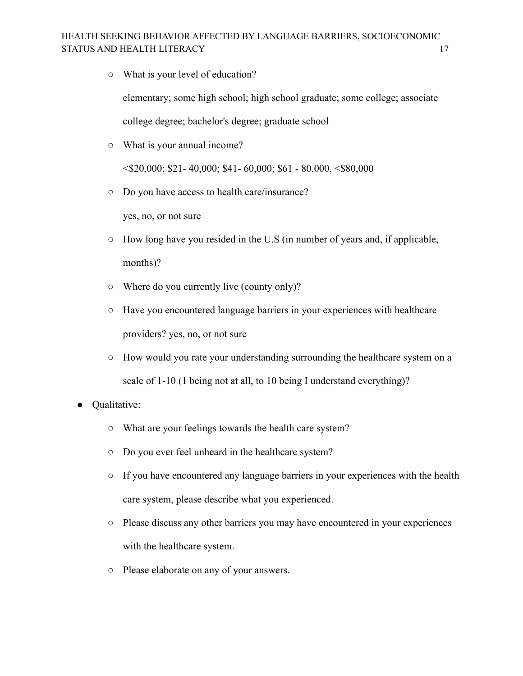○ What is your level of education?

elementary; some high school; high school graduate; some college; associate college degree; bachelor's degree; graduate school

○ What is your annual income?

 $\langle$ \$20,000; \$21-40,000; \$41-60,000; \$61-80,000,  $\langle$ \$80,000

○ Do you have access to health care/insurance?

yes, no, or not sure

- How long have you resided in the U.S (in number of years and, if applicable, months)?
- Where do you currently live (county only)?
- Have you encountered language barriers in your experiences with healthcare providers? yes, no, or not sure
- How would you rate your understanding surrounding the healthcare system on a scale of 1-10 (1 being not at all, to 10 being I understand everything)?
- **Qualitative:** 
	- What are your feelings towards the health care system?
	- Do you ever feel unheard in the healthcare system?
	- $\circ$  If you have encountered any language barriers in your experiences with the health care system, please describe what you experienced.
	- Please discuss any other barriers you may have encountered in your experiences with the healthcare system.
	- Please elaborate on any of your answers.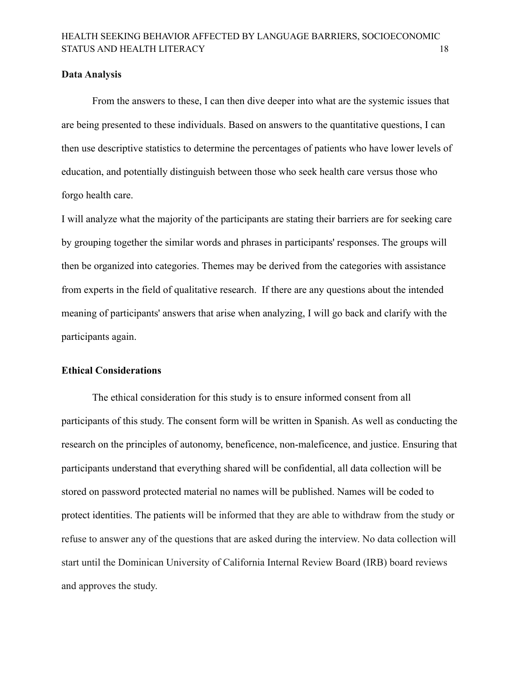#### <span id="page-18-0"></span>**Data Analysis**

From the answers to these, I can then dive deeper into what are the systemic issues that are being presented to these individuals. Based on answers to the quantitative questions, I can then use descriptive statistics to determine the percentages of patients who have lower levels of education, and potentially distinguish between those who seek health care versus those who forgo health care.

I will analyze what the majority of the participants are stating their barriers are for seeking care by grouping together the similar words and phrases in participants' responses. The groups will then be organized into categories. Themes may be derived from the categories with assistance from experts in the field of qualitative research. If there are any questions about the intended meaning of participants' answers that arise when analyzing, I will go back and clarify with the participants again.

#### <span id="page-18-1"></span>**Ethical Considerations**

The ethical consideration for this study is to ensure informed consent from all participants of this study. The consent form will be written in Spanish. As well as conducting the research on the principles of autonomy, beneficence, non-maleficence, and justice. Ensuring that participants understand that everything shared will be confidential, all data collection will be stored on password protected material no names will be published. Names will be coded to protect identities. The patients will be informed that they are able to withdraw from the study or refuse to answer any of the questions that are asked during the interview. No data collection will start until the Dominican University of California Internal Review Board (IRB) board reviews and approves the study.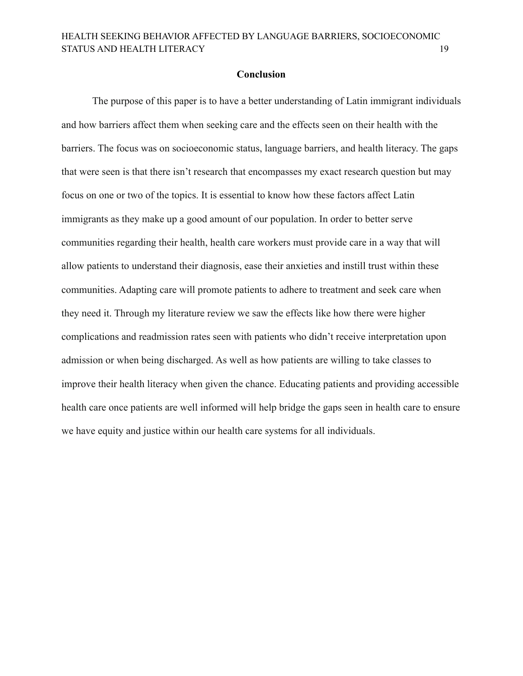#### **Conclusion**

The purpose of this paper is to have a better understanding of Latin immigrant individuals and how barriers affect them when seeking care and the effects seen on their health with the barriers. The focus was on socioeconomic status, language barriers, and health literacy. The gaps that were seen is that there isn't research that encompasses my exact research question but may focus on one or two of the topics. It is essential to know how these factors affect Latin immigrants as they make up a good amount of our population. In order to better serve communities regarding their health, health care workers must provide care in a way that will allow patients to understand their diagnosis, ease their anxieties and instill trust within these communities. Adapting care will promote patients to adhere to treatment and seek care when they need it. Through my literature review we saw the effects like how there were higher complications and readmission rates seen with patients who didn't receive interpretation upon admission or when being discharged. As well as how patients are willing to take classes to improve their health literacy when given the chance. Educating patients and providing accessible health care once patients are well informed will help bridge the gaps seen in health care to ensure we have equity and justice within our health care systems for all individuals.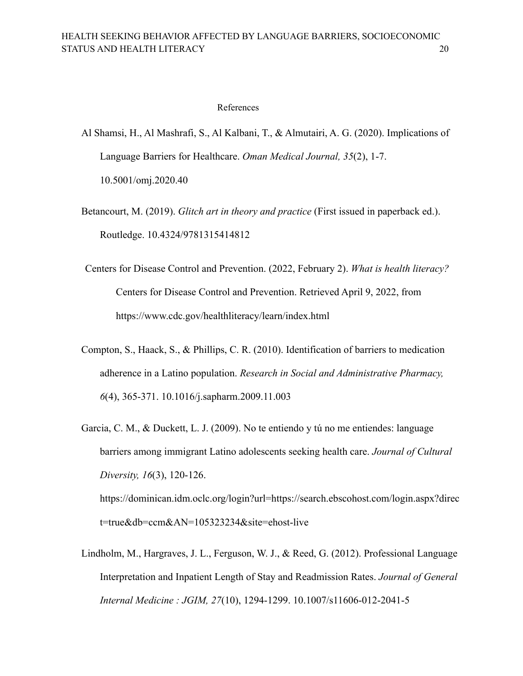#### References

- <span id="page-20-0"></span>Al Shamsi, H., Al Mashrafi, S., Al Kalbani, T., & Almutairi, A. G. (2020). Implications of Language Barriers for Healthcare. *Oman Medical Journal, 35*(2), 1-7. 10.5001/omj.2020.40
- Betancourt, M. (2019). *Glitch art in theory and practice* (First issued in paperback ed.). Routledge. 10.4324/9781315414812
- Centers for Disease Control and Prevention. (2022, February 2). *What is health literacy?* Centers for Disease Control and Prevention. Retrieved April 9, 2022, from https://www.cdc.gov/healthliteracy/learn/index.html
- Compton, S., Haack, S., & Phillips, C. R. (2010). Identification of barriers to medication adherence in a Latino population. *Research in Social and Administrative Pharmacy, 6*(4), 365-371. 10.1016/j.sapharm.2009.11.003
- Garcia, C. M., & Duckett, L. J. (2009). No te entiendo y tú no me entiendes: language barriers among immigrant Latino adolescents seeking health care. *Journal of Cultural Diversity, 16*(3), 120-126. [https://dominican.idm.oclc.org/login?url=https://search.ebscohost.com/login.aspx?direc](https://dominican.idm.oclc.org/login?url=https://search.ebscohost.com/login.aspx?direct=true&db=ccm&AN=105323234&site=ehost-live) [t=true&db=ccm&AN=105323234&site=ehost-live](https://dominican.idm.oclc.org/login?url=https://search.ebscohost.com/login.aspx?direct=true&db=ccm&AN=105323234&site=ehost-live)
- Lindholm, M., Hargraves, J. L., Ferguson, W. J., & Reed, G. (2012). Professional Language Interpretation and Inpatient Length of Stay and Readmission Rates. *Journal of General Internal Medicine : JGIM, 27*(10), 1294-1299. 10.1007/s11606-012-2041-5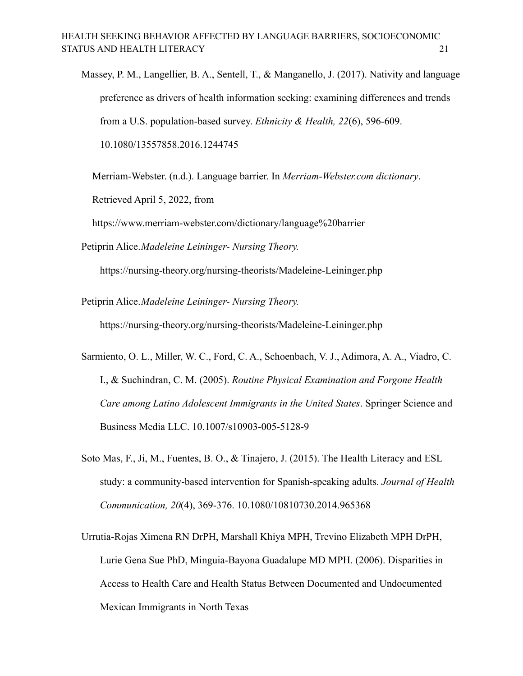Massey, P. M., Langellier, B. A., Sentell, T., & Manganello, J. (2017). Nativity and language preference as drivers of health information seeking: examining differences and trends from a U.S. population-based survey. *Ethnicity & Health, 22*(6), 596-609. 10.1080/13557858.2016.1244745

Merriam-Webster. (n.d.). Language barrier. In *Merriam-Webster.com dictionary*. Retrieved April 5, 2022, from

https://www.merriam-webster.com/dictionary/language%20barrier

Petiprin Alice.*Madeleine Leininger- Nursing Theory.*

<https://nursing-theory.org/nursing-theorists/Madeleine-Leininger.php>

Petiprin Alice.*Madeleine Leininger- Nursing Theory.*

<https://nursing-theory.org/nursing-theorists/Madeleine-Leininger.php>

- Sarmiento, O. L., Miller, W. C., Ford, C. A., Schoenbach, V. J., Adimora, A. A., Viadro, C. I., & Suchindran, C. M. (2005). *Routine Physical Examination and Forgone Health Care among Latino Adolescent Immigrants in the United States*. Springer Science and Business Media LLC. 10.1007/s10903-005-5128-9
- Soto Mas, F., Ji, M., Fuentes, B. O., & Tinajero, J. (2015). The Health Literacy and ESL study: a community-based intervention for Spanish-speaking adults. *Journal of Health Communication, 20*(4), 369-376. 10.1080/10810730.2014.965368
- Urrutia-Rojas Ximena RN DrPH, Marshall Khiya MPH, Trevino Elizabeth MPH DrPH, Lurie Gena Sue PhD, Minguia-Bayona Guadalupe MD MPH. (2006). Disparities in Access to Health Care and Health Status Between Documented and Undocumented Mexican Immigrants in North Texas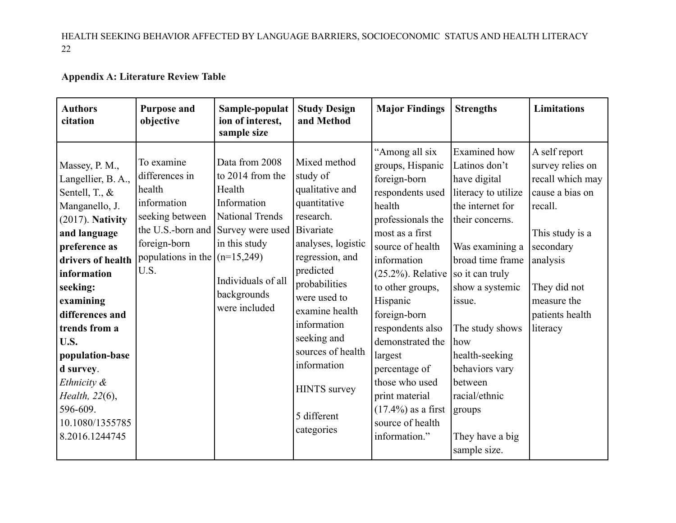# **Appendix A: Literature Review Table**

<span id="page-22-0"></span>

| <b>Authors</b><br>citation                                                                                                                                                                                                                                                                                                                                  | <b>Purpose and</b><br>objective                                                                                                     | Sample-populat<br>ion of interest,<br>sample size                                                                                                                                                            | <b>Study Design</b><br>and Method                                                                                                                                                                                                                                                                       | <b>Major Findings</b>                                                                                                                                                                                                                                                                                                                                                                                      | <b>Strengths</b>                                                                                                                                                                                                                                                                                                                                 | <b>Limitations</b>                                                                                                                                                                            |
|-------------------------------------------------------------------------------------------------------------------------------------------------------------------------------------------------------------------------------------------------------------------------------------------------------------------------------------------------------------|-------------------------------------------------------------------------------------------------------------------------------------|--------------------------------------------------------------------------------------------------------------------------------------------------------------------------------------------------------------|---------------------------------------------------------------------------------------------------------------------------------------------------------------------------------------------------------------------------------------------------------------------------------------------------------|------------------------------------------------------------------------------------------------------------------------------------------------------------------------------------------------------------------------------------------------------------------------------------------------------------------------------------------------------------------------------------------------------------|--------------------------------------------------------------------------------------------------------------------------------------------------------------------------------------------------------------------------------------------------------------------------------------------------------------------------------------------------|-----------------------------------------------------------------------------------------------------------------------------------------------------------------------------------------------|
| Massey, P. M.,<br>Langellier, B. A.,<br>Sentell, T., &<br>Manganello, J.<br>$(2017)$ . Nativity<br>and language<br>preference as<br>drivers of health<br>information<br>seeking:<br>examining<br>differences and<br>trends from a<br>U.S.<br>population-base<br>d survey.<br>Ethnicity &<br>Health, 22(6),<br>596-609.<br>10.1080/1355785<br>8.2016.1244745 | To examine<br>differences in<br>health<br>information<br>seeking between<br>foreign-born<br>populations in the $(n=15,249)$<br>U.S. | Data from 2008<br>to 2014 from the<br>Health<br>Information<br><b>National Trends</b><br>the U.S.-born and Survey were used Bivariate<br>in this study<br>Individuals of all<br>backgrounds<br>were included | Mixed method<br>study of<br>qualitative and<br>quantitative<br>research.<br>analyses, logistic<br>regression, and<br>predicted<br>probabilities<br>were used to<br>examine health<br>information<br>seeking and<br>sources of health<br>information<br><b>HINTS</b> survey<br>5 different<br>categories | "Among all six<br>groups, Hispanic<br>foreign-born<br>respondents used<br>health<br>professionals the<br>most as a first<br>source of health<br>information<br>$(25.2\%)$ . Relative<br>to other groups,<br>Hispanic<br>foreign-born<br>respondents also<br>demonstrated the<br>largest<br>percentage of<br>those who used<br>print material<br>$(17.4\%)$ as a first<br>source of health<br>information." | <b>Examined</b> how<br>Latinos don't<br>have digital<br>literacy to utilize<br>the internet for<br>their concerns.<br>Was examining a<br>broad time frame<br>so it can truly<br>show a systemic<br>issue.<br>The study shows<br>how<br>health-seeking<br>behaviors vary<br>between<br>racial/ethnic<br>groups<br>They have a big<br>sample size. | A self report<br>survey relies on<br>recall which may<br>cause a bias on<br>recall.<br>This study is a<br>secondary<br>analysis<br>They did not<br>measure the<br>patients health<br>literacy |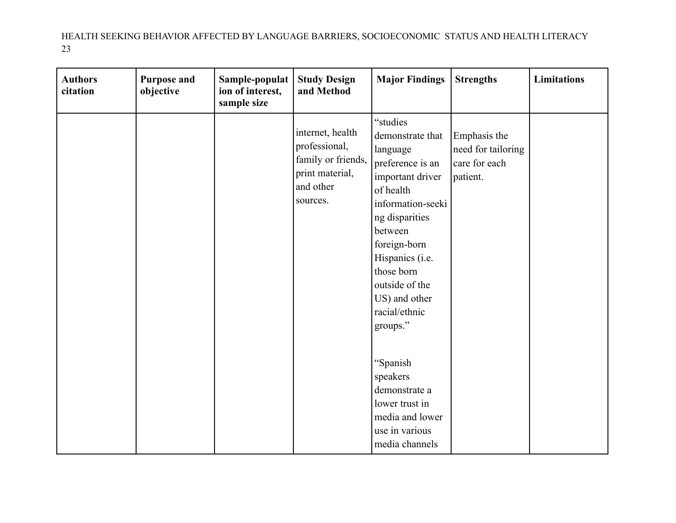| <b>Authors</b><br>citation | <b>Purpose and</b><br>objective | Sample-populat<br>ion of interest,<br>sample size | <b>Study Design</b><br>and Method                                                                   | <b>Major Findings</b>                                                                                                                                                                                                                                            | <b>Strengths</b>                                                | <b>Limitations</b> |
|----------------------------|---------------------------------|---------------------------------------------------|-----------------------------------------------------------------------------------------------------|------------------------------------------------------------------------------------------------------------------------------------------------------------------------------------------------------------------------------------------------------------------|-----------------------------------------------------------------|--------------------|
|                            |                                 |                                                   | internet, health<br>professional,<br>family or friends,<br>print material,<br>and other<br>sources. | "studies<br>demonstrate that<br>language<br>preference is an<br>important driver<br>of health<br>information-seeki<br>ng disparities<br>between<br>foreign-born<br>Hispanics (i.e.<br>those born<br>outside of the<br>US) and other<br>racial/ethnic<br>groups." | Emphasis the<br>need for tailoring<br>care for each<br>patient. |                    |
|                            |                                 |                                                   |                                                                                                     | "Spanish<br>speakers<br>demonstrate a<br>lower trust in<br>media and lower<br>use in various<br>media channels                                                                                                                                                   |                                                                 |                    |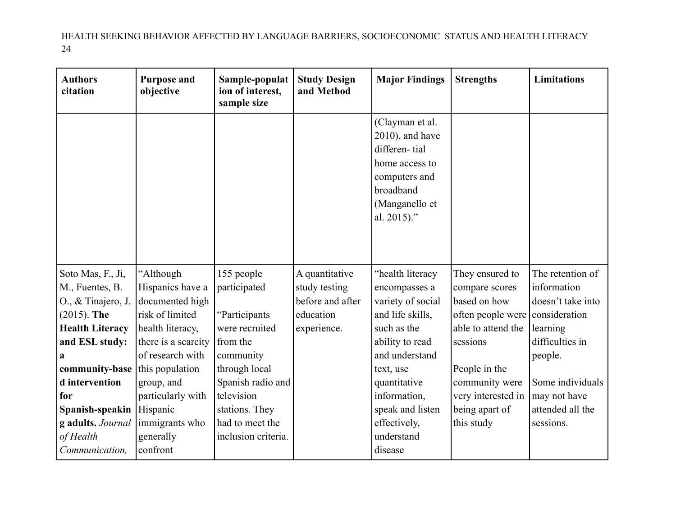| <b>Authors</b><br>citation | <b>Purpose and</b><br>objective | Sample-populat<br>ion of interest,<br>sample size | <b>Study Design</b><br>and Method | <b>Major Findings</b>                                                                                                                   | <b>Strengths</b>   | <b>Limitations</b> |
|----------------------------|---------------------------------|---------------------------------------------------|-----------------------------------|-----------------------------------------------------------------------------------------------------------------------------------------|--------------------|--------------------|
|                            |                                 |                                                   |                                   | (Clayman et al.<br>$2010$ ), and have<br>differen-tial<br>home access to<br>computers and<br>broadband<br>(Manganello et<br>al. 2015)." |                    |                    |
| Soto Mas, F., Ji,          | "Although                       | 155 people                                        | A quantitative                    | "health literacy                                                                                                                        | They ensured to    | The retention of   |
| M., Fuentes, B.            | Hispanics have a                | participated                                      | study testing                     | encompasses a                                                                                                                           | compare scores     | information        |
| O., & Tinajero, J.         | documented high                 |                                                   | before and after                  | variety of social                                                                                                                       | based on how       | doesn't take into  |
| $(2015)$ . The             | risk of limited                 | "Participants                                     | education                         | and life skills,                                                                                                                        | often people were  | consideration      |
| <b>Health Literacy</b>     | health literacy,                | were recruited                                    | experience.                       | such as the                                                                                                                             | able to attend the | learning           |
| and ESL study:             | there is a scarcity             | from the                                          |                                   | ability to read                                                                                                                         | sessions           | difficulties in    |
| a                          | of research with                | community                                         |                                   | and understand                                                                                                                          |                    | people.            |
| community-base             | this population                 | through local                                     |                                   | text, use                                                                                                                               | People in the      |                    |
| d intervention             | group, and                      | Spanish radio and                                 |                                   | quantitative                                                                                                                            | community were     | Some individuals   |
| for                        | particularly with               | television                                        |                                   | information,                                                                                                                            | very interested in | may not have       |
| Spanish-speakin            | Hispanic                        | stations. They                                    |                                   | speak and listen                                                                                                                        | being apart of     | attended all the   |
| g adults. Journal          | immigrants who                  | had to meet the                                   |                                   | effectively,                                                                                                                            | this study         | sessions.          |
| of Health                  | generally                       | inclusion criteria.                               |                                   | understand                                                                                                                              |                    |                    |
| Communication,             | confront                        |                                                   |                                   | disease                                                                                                                                 |                    |                    |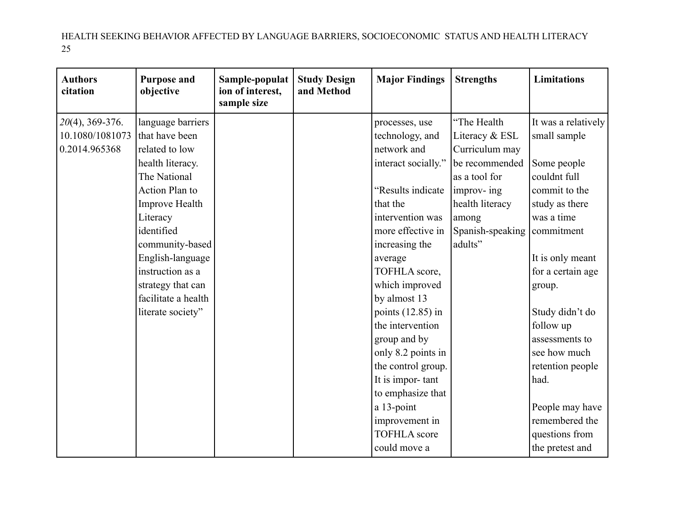| <b>Authors</b><br>citation | <b>Purpose and</b><br>objective | Sample-populat<br>ion of interest,<br>sample size | <b>Study Design</b><br>and Method | <b>Major Findings</b> | <b>Strengths</b> | <b>Limitations</b>  |
|----------------------------|---------------------------------|---------------------------------------------------|-----------------------------------|-----------------------|------------------|---------------------|
| $20(4)$ , 369-376.         | language barriers               |                                                   |                                   | processes, use        | "The Health      | It was a relatively |
| 10.1080/1081073            | that have been                  |                                                   |                                   | technology, and       | Literacy & ESL   | small sample        |
| 0.2014.965368              | related to low                  |                                                   |                                   | network and           | Curriculum may   |                     |
|                            | health literacy.                |                                                   |                                   | interact socially."   | be recommended   | Some people         |
|                            | The National                    |                                                   |                                   |                       | as a tool for    | couldnt full        |
|                            | <b>Action Plan to</b>           |                                                   |                                   | "Results indicate     | improv- ing      | commit to the       |
|                            | Improve Health                  |                                                   |                                   | that the              | health literacy  | study as there      |
|                            | Literacy                        |                                                   |                                   | intervention was      | among            | was a time          |
|                            | identified                      |                                                   |                                   | more effective in     | Spanish-speaking | commitment          |
|                            | community-based                 |                                                   |                                   | increasing the        | adults"          |                     |
|                            | English-language                |                                                   |                                   | average               |                  | It is only meant    |
|                            | instruction as a                |                                                   |                                   | TOFHLA score,         |                  | for a certain age   |
|                            | strategy that can               |                                                   |                                   | which improved        |                  | group.              |
|                            | facilitate a health             |                                                   |                                   | by almost 13          |                  |                     |
|                            | literate society"               |                                                   |                                   | points $(12.85)$ in   |                  | Study didn't do     |
|                            |                                 |                                                   |                                   | the intervention      |                  | follow up           |
|                            |                                 |                                                   |                                   | group and by          |                  | assessments to      |
|                            |                                 |                                                   |                                   | only 8.2 points in    |                  | see how much        |
|                            |                                 |                                                   |                                   | the control group.    |                  | retention people    |
|                            |                                 |                                                   |                                   | It is impor-tant      |                  | had.                |
|                            |                                 |                                                   |                                   | to emphasize that     |                  |                     |
|                            |                                 |                                                   |                                   | a 13-point            |                  | People may have     |
|                            |                                 |                                                   |                                   | improvement in        |                  | remembered the      |
|                            |                                 |                                                   |                                   | <b>TOFHLA</b> score   |                  | questions from      |
|                            |                                 |                                                   |                                   | could move a          |                  | the pretest and     |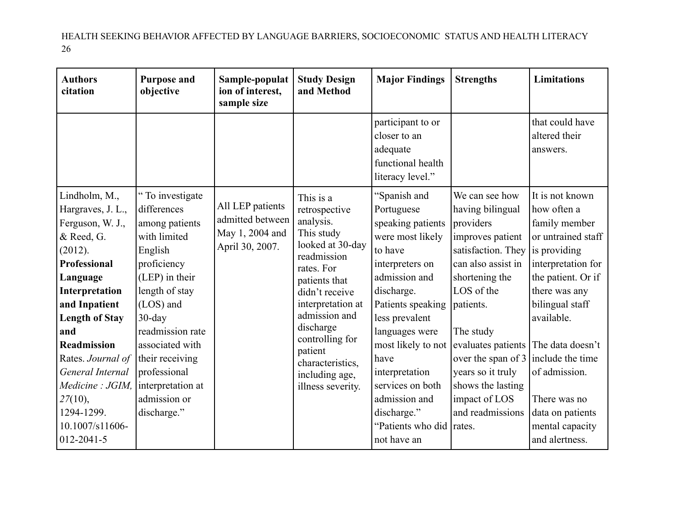| <b>Authors</b><br>citation                                                                                                                                                                                                                                                                                                 | <b>Purpose and</b><br>objective                                                                                                                                                                                                                                                         | Sample-populat<br>ion of interest,<br>sample size                          | <b>Study Design</b><br>and Method                                                                                                                                                                                                                                                     | <b>Major Findings</b>                                                                                                                                                                                                                                                                                                             | <b>Strengths</b>                                                                                                                                                                                                                                                                                               | <b>Limitations</b>                                                                                                                                                                                                                                                                                                    |
|----------------------------------------------------------------------------------------------------------------------------------------------------------------------------------------------------------------------------------------------------------------------------------------------------------------------------|-----------------------------------------------------------------------------------------------------------------------------------------------------------------------------------------------------------------------------------------------------------------------------------------|----------------------------------------------------------------------------|---------------------------------------------------------------------------------------------------------------------------------------------------------------------------------------------------------------------------------------------------------------------------------------|-----------------------------------------------------------------------------------------------------------------------------------------------------------------------------------------------------------------------------------------------------------------------------------------------------------------------------------|----------------------------------------------------------------------------------------------------------------------------------------------------------------------------------------------------------------------------------------------------------------------------------------------------------------|-----------------------------------------------------------------------------------------------------------------------------------------------------------------------------------------------------------------------------------------------------------------------------------------------------------------------|
|                                                                                                                                                                                                                                                                                                                            |                                                                                                                                                                                                                                                                                         |                                                                            |                                                                                                                                                                                                                                                                                       | participant to or<br>closer to an<br>adequate<br>functional health<br>literacy level."                                                                                                                                                                                                                                            |                                                                                                                                                                                                                                                                                                                | that could have<br>altered their<br>answers.                                                                                                                                                                                                                                                                          |
| Lindholm, M.,<br>Hargraves, J. L.,<br>Ferguson, W. J.,<br>& Reed, G.<br>(2012).<br>Professional<br>Language<br>Interpretation<br>and Inpatient<br><b>Length of Stay</b><br>and<br>Readmission<br>Rates. Journal of<br>General Internal<br>Medicine : JGIM,<br>27(10),<br>1294-1299.<br>10.1007/s11606-<br>$012 - 2041 - 5$ | "To investigate"<br>differences<br>among patients<br>with limited<br>English<br>proficiency<br>(LEP) in their<br>length of stay<br>(LOS) and<br>$30$ -day<br>readmission rate<br>associated with<br>their receiving<br>professional<br>interpretation at<br>admission or<br>discharge." | All LEP patients<br>admitted between<br>May 1, 2004 and<br>April 30, 2007. | This is a<br>retrospective<br>analysis.<br>This study<br>looked at 30-day<br>readmission<br>rates. For<br>patients that<br>didn't receive<br>interpretation at<br>admission and<br>discharge<br>controlling for<br>patient<br>characteristics,<br>including age,<br>illness severity. | "Spanish and<br>Portuguese<br>speaking patients<br>were most likely<br>to have<br>interpreters on<br>admission and<br>discharge.<br>Patients speaking<br>less prevalent<br>languages were<br>most likely to not<br>have<br>interpretation<br>services on both<br>admission and<br>discharge."<br>"Patients who did<br>not have an | We can see how<br>having bilingual<br>providers<br>improves patient<br>satisfaction. They<br>can also assist in<br>shortening the<br>LOS of the<br>patients.<br>The study<br>evaluates patients<br>over the span of 3<br>years so it truly<br>shows the lasting<br>impact of LOS<br>and readmissions<br>rates. | It is not known<br>how often a<br>family member<br>or untrained staff<br>is providing<br>interpretation for<br>the patient. Or if<br>there was any<br>bilingual staff<br>available.<br>The data doesn't<br>include the time<br>of admission.<br>There was no<br>data on patients<br>mental capacity<br>and alertness. |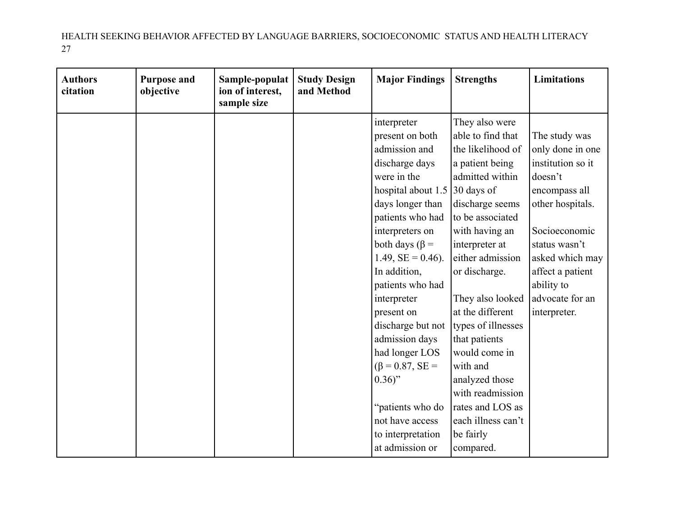| <b>Authors</b><br>citation | <b>Purpose and</b><br>objective | Sample-populat<br>ion of interest,<br>sample size | <b>Study Design</b><br>and Method | <b>Major Findings</b>   | <b>Strengths</b>   | <b>Limitations</b> |
|----------------------------|---------------------------------|---------------------------------------------------|-----------------------------------|-------------------------|--------------------|--------------------|
|                            |                                 |                                                   |                                   | interpreter             | They also were     |                    |
|                            |                                 |                                                   |                                   | present on both         | able to find that  | The study was      |
|                            |                                 |                                                   |                                   | admission and           | the likelihood of  | only done in one   |
|                            |                                 |                                                   |                                   | discharge days          | a patient being    | institution so it  |
|                            |                                 |                                                   |                                   | were in the             | admitted within    | doesn't            |
|                            |                                 |                                                   |                                   | hospital about 1.5      | 30 days of         | encompass all      |
|                            |                                 |                                                   |                                   | days longer than        | discharge seems    | other hospitals.   |
|                            |                                 |                                                   |                                   | patients who had        | to be associated   |                    |
|                            |                                 |                                                   |                                   | interpreters on         | with having an     | Socioeconomic      |
|                            |                                 |                                                   |                                   | both days ( $\beta$ =   | interpreter at     | status wasn't      |
|                            |                                 |                                                   |                                   | $1.49$ , $SE = 0.46$ ). | either admission   | asked which may    |
|                            |                                 |                                                   |                                   | In addition,            | or discharge.      | affect a patient   |
|                            |                                 |                                                   |                                   | patients who had        |                    | ability to         |
|                            |                                 |                                                   |                                   | interpreter             | They also looked   | advocate for an    |
|                            |                                 |                                                   |                                   | present on              | at the different   | interpreter.       |
|                            |                                 |                                                   |                                   | discharge but not       | types of illnesses |                    |
|                            |                                 |                                                   |                                   | admission days          | that patients      |                    |
|                            |                                 |                                                   |                                   | had longer LOS          | would come in      |                    |
|                            |                                 |                                                   |                                   | $(\beta = 0.87, SE =$   | with and           |                    |
|                            |                                 |                                                   |                                   | $0.36$ "                | analyzed those     |                    |
|                            |                                 |                                                   |                                   |                         | with readmission   |                    |
|                            |                                 |                                                   |                                   | "patients who do        | rates and LOS as   |                    |
|                            |                                 |                                                   |                                   | not have access         | each illness can't |                    |
|                            |                                 |                                                   |                                   | to interpretation       | be fairly          |                    |
|                            |                                 |                                                   |                                   | at admission or         | compared.          |                    |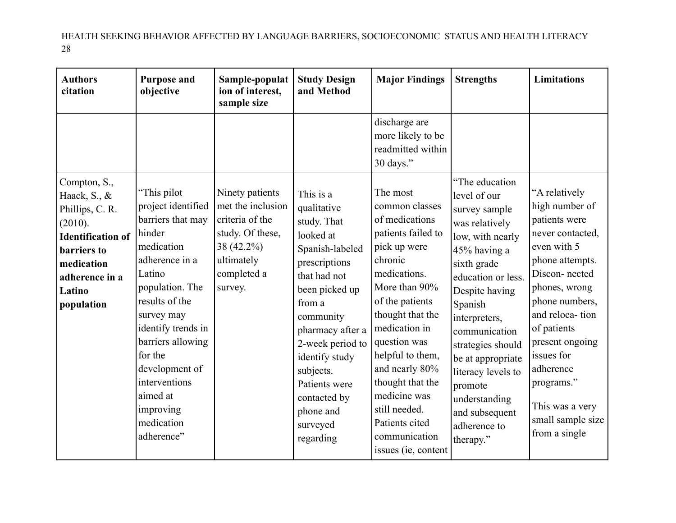| <b>Authors</b><br>citation                                                                                                                                           | <b>Purpose and</b><br>objective                                                                                                                                                                                                                                                                             | Sample-populat<br>ion of interest,<br>sample size                                                                                 | <b>Study Design</b><br>and Method                                                                                                                                                                                                                                                               | <b>Major Findings</b>                                                                                                                                                                                                                                                                                                                                       | <b>Strengths</b>                                                                                                                                                                                                                                                                                                                                     | <b>Limitations</b>                                                                                                                                                                                                                                                                                                |
|----------------------------------------------------------------------------------------------------------------------------------------------------------------------|-------------------------------------------------------------------------------------------------------------------------------------------------------------------------------------------------------------------------------------------------------------------------------------------------------------|-----------------------------------------------------------------------------------------------------------------------------------|-------------------------------------------------------------------------------------------------------------------------------------------------------------------------------------------------------------------------------------------------------------------------------------------------|-------------------------------------------------------------------------------------------------------------------------------------------------------------------------------------------------------------------------------------------------------------------------------------------------------------------------------------------------------------|------------------------------------------------------------------------------------------------------------------------------------------------------------------------------------------------------------------------------------------------------------------------------------------------------------------------------------------------------|-------------------------------------------------------------------------------------------------------------------------------------------------------------------------------------------------------------------------------------------------------------------------------------------------------------------|
|                                                                                                                                                                      |                                                                                                                                                                                                                                                                                                             |                                                                                                                                   |                                                                                                                                                                                                                                                                                                 | discharge are<br>more likely to be<br>readmitted within<br>30 days."                                                                                                                                                                                                                                                                                        |                                                                                                                                                                                                                                                                                                                                                      |                                                                                                                                                                                                                                                                                                                   |
| Compton, S.,<br>Haack, S., &<br>Phillips, C. R.<br>(2010).<br><b>Identification of</b><br><b>barriers</b> to<br>medication<br>adherence in a<br>Latino<br>population | "This pilot<br>project identified<br>barriers that may<br>hinder<br>medication<br>adherence in a<br>Latino<br>population. The<br>results of the<br>survey may<br>identify trends in<br>barriers allowing<br>for the<br>development of<br>interventions<br>aimed at<br>improving<br>medication<br>adherence" | Ninety patients<br>met the inclusion<br>criteria of the<br>study. Of these,<br>38 (42.2%)<br>ultimately<br>completed a<br>survey. | This is a<br>qualitative<br>study. That<br>looked at<br>Spanish-labeled<br>prescriptions<br>that had not<br>been picked up<br>from a<br>community<br>pharmacy after a<br>2-week period to<br>identify study<br>subjects.<br>Patients were<br>contacted by<br>phone and<br>surveyed<br>regarding | The most<br>common classes<br>of medications<br>patients failed to<br>pick up were<br>chronic<br>medications.<br>More than 90%<br>of the patients<br>thought that the<br>medication in<br>question was<br>helpful to them,<br>and nearly 80%<br>thought that the<br>medicine was<br>still needed.<br>Patients cited<br>communication<br>issues (ie, content | "The education<br>level of our<br>survey sample<br>was relatively<br>low, with nearly<br>45% having a<br>sixth grade<br>education or less.<br>Despite having<br>Spanish<br>interpreters,<br>communication<br>strategies should<br>be at appropriate<br>literacy levels to<br>promote<br>understanding<br>and subsequent<br>adherence to<br>therapy." | "A relatively<br>high number of<br>patients were<br>never contacted,<br>even with 5<br>phone attempts.<br>Discon-nected<br>phones, wrong<br>phone numbers,<br>and reloca-tion<br>of patients<br>present ongoing<br>issues for<br>adherence<br>programs."<br>This was a very<br>small sample size<br>from a single |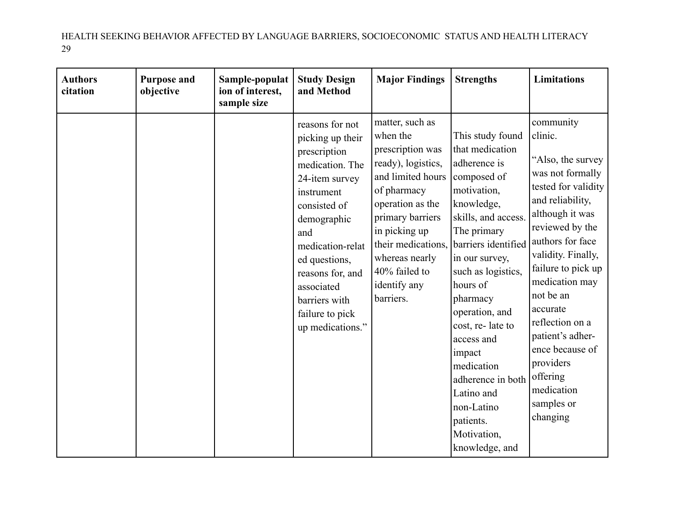| <b>Authors</b><br>citation | <b>Purpose and</b><br>objective | Sample-populat<br>ion of interest,<br>sample size | <b>Study Design</b><br>and Method                                                                                                                                                                                                                                           | <b>Major Findings</b>                                                                                                                                                                                                                                    | <b>Strengths</b>                                                                                                                                                                                                                                                                                                                                                                                        | <b>Limitations</b>                                                                                                                                                                                                                                                                                                                                                                   |
|----------------------------|---------------------------------|---------------------------------------------------|-----------------------------------------------------------------------------------------------------------------------------------------------------------------------------------------------------------------------------------------------------------------------------|----------------------------------------------------------------------------------------------------------------------------------------------------------------------------------------------------------------------------------------------------------|---------------------------------------------------------------------------------------------------------------------------------------------------------------------------------------------------------------------------------------------------------------------------------------------------------------------------------------------------------------------------------------------------------|--------------------------------------------------------------------------------------------------------------------------------------------------------------------------------------------------------------------------------------------------------------------------------------------------------------------------------------------------------------------------------------|
|                            |                                 |                                                   | reasons for not<br>picking up their<br>prescription<br>medication. The<br>24-item survey<br>instrument<br>consisted of<br>demographic<br>and<br>medication-relat<br>ed questions,<br>reasons for, and<br>associated<br>barriers with<br>failure to pick<br>up medications." | matter, such as<br>when the<br>prescription was<br>ready), logistics,<br>and limited hours<br>of pharmacy<br>operation as the<br>primary barriers<br>in picking up<br>their medications,<br>whereas nearly<br>40% failed to<br>identify any<br>barriers. | This study found<br>that medication<br>adherence is<br>composed of<br>motivation,<br>knowledge,<br>skills, and access.<br>The primary<br>barriers identified<br>in our survey,<br>such as logistics,<br>hours of<br>pharmacy<br>operation, and<br>cost, re-late to<br>access and<br>impact<br>medication<br>adherence in both<br>Latino and<br>non-Latino<br>patients.<br>Motivation,<br>knowledge, and | community<br>clinic.<br>"Also, the survey<br>was not formally<br>tested for validity<br>and reliability,<br>although it was<br>reviewed by the<br>authors for face<br>validity. Finally,<br>failure to pick up<br>medication may<br>not be an<br>accurate<br>reflection on a<br>patient's adher-<br>ence because of<br>providers<br>offering<br>medication<br>samples or<br>changing |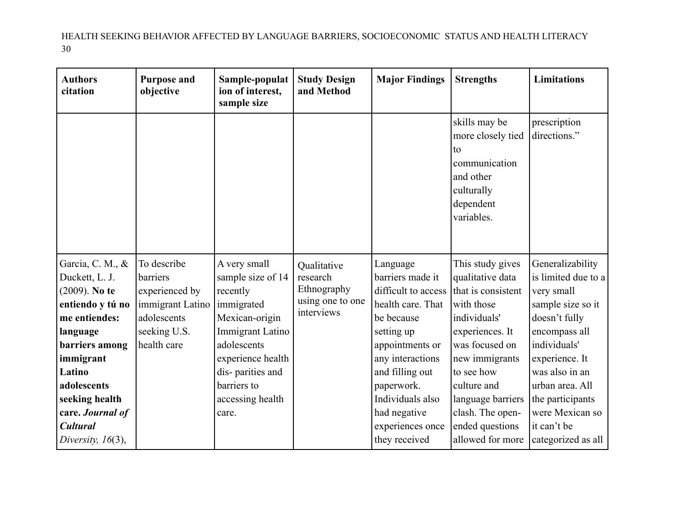| <b>Authors</b><br>citation         | <b>Purpose and</b><br>objective | Sample-populat<br>ion of interest,<br>sample size | <b>Study Design</b><br>and Method | <b>Major Findings</b>               | <b>Strengths</b>                                                                                                | <b>Limitations</b>            |
|------------------------------------|---------------------------------|---------------------------------------------------|-----------------------------------|-------------------------------------|-----------------------------------------------------------------------------------------------------------------|-------------------------------|
|                                    |                                 |                                                   |                                   |                                     | skills may be<br>more closely tied<br>to<br>communication<br>and other<br>culturally<br>dependent<br>variables. | prescription<br>directions."  |
| Garcia, C. M., &                   | To describe                     | A very small                                      | Qualitative                       | Language                            | This study gives                                                                                                | Generalizability              |
| Duckett, L. J.                     | barriers                        | sample size of 14                                 | research                          | barriers made it                    | qualitative data                                                                                                | is limited due to a           |
| $(2009)$ . No te                   | experienced by                  | recently                                          | Ethnography<br>using one to one   | difficult to access                 | that is consistent                                                                                              | very small                    |
| entiendo y tú no                   | immigrant Latino                | immigrated                                        | interviews                        | health care. That                   | with those                                                                                                      | sample size so it             |
| me entiendes:                      | adolescents                     | Mexican-origin                                    |                                   | be because                          | individuals'                                                                                                    | doesn't fully                 |
| language                           | seeking U.S.                    | Immigrant Latino<br>adolescents                   |                                   | setting up                          | experiences. It                                                                                                 | encompass all<br>individuals' |
| <b>barriers</b> among<br>immigrant | health care                     | experience health                                 |                                   | appointments or<br>any interactions | was focused on<br>new immigrants                                                                                | experience. It                |
| Latino                             |                                 | dis-parities and                                  |                                   | and filling out                     | to see how                                                                                                      | was also in an                |
| adolescents                        |                                 | barriers to                                       |                                   | paperwork.                          | culture and                                                                                                     | urban area. All               |
| seeking health                     |                                 | accessing health                                  |                                   | Individuals also                    | language barriers                                                                                               | the participants              |
| care. Journal of                   |                                 | care.                                             |                                   | had negative                        | clash. The open-                                                                                                | were Mexican so               |
| <b>Cultural</b>                    |                                 |                                                   |                                   | experiences once                    | ended questions                                                                                                 | it can't be                   |
| Diversity, $16(3)$ ,               |                                 |                                                   |                                   | they received                       | allowed for more                                                                                                | categorized as all            |